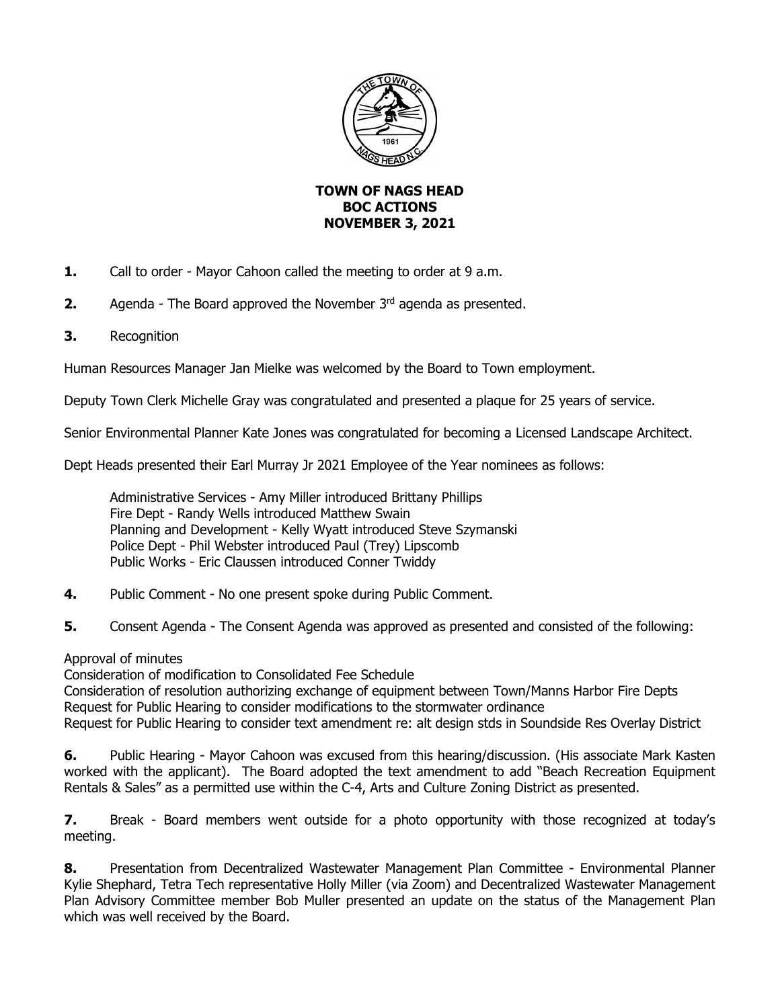

## **TOWN OF NAGS HEAD BOC ACTIONS NOVEMBER 3, 2021**

- **1.** Call to order Mayor Cahoon called the meeting to order at 9 a.m.
- **2.** Agenda The Board approved the November 3<sup>rd</sup> agenda as presented.
- **3.** Recognition

Human Resources Manager Jan Mielke was welcomed by the Board to Town employment.

Deputy Town Clerk Michelle Gray was congratulated and presented a plaque for 25 years of service.

Senior Environmental Planner Kate Jones was congratulated for becoming a Licensed Landscape Architect.

Dept Heads presented their Earl Murray Jr 2021 Employee of the Year nominees as follows:

Administrative Services - Amy Miller introduced Brittany Phillips Fire Dept - Randy Wells introduced Matthew Swain Planning and Development - Kelly Wyatt introduced Steve Szymanski Police Dept - Phil Webster introduced Paul (Trey) Lipscomb Public Works - Eric Claussen introduced Conner Twiddy

- **4.** Public Comment No one present spoke during Public Comment.
- **5.** Consent Agenda The Consent Agenda was approved as presented and consisted of the following:

## Approval of minutes

Consideration of modification to Consolidated Fee Schedule

Consideration of resolution authorizing exchange of equipment between Town/Manns Harbor Fire Depts Request for Public Hearing to consider modifications to the stormwater ordinance Request for Public Hearing to consider text amendment re: alt design stds in Soundside Res Overlay District

**6.** Public Hearing - Mayor Cahoon was excused from this hearing/discussion. (His associate Mark Kasten worked with the applicant). The Board adopted the text amendment to add "Beach Recreation Equipment Rentals & Sales" as a permitted use within the C-4, Arts and Culture Zoning District as presented.

**7.** Break - Board members went outside for a photo opportunity with those recognized at today's meeting.

**8.** Presentation from Decentralized Wastewater Management Plan Committee - Environmental Planner Kylie Shephard, Tetra Tech representative Holly Miller (via Zoom) and Decentralized Wastewater Management Plan Advisory Committee member Bob Muller presented an update on the status of the Management Plan which was well received by the Board.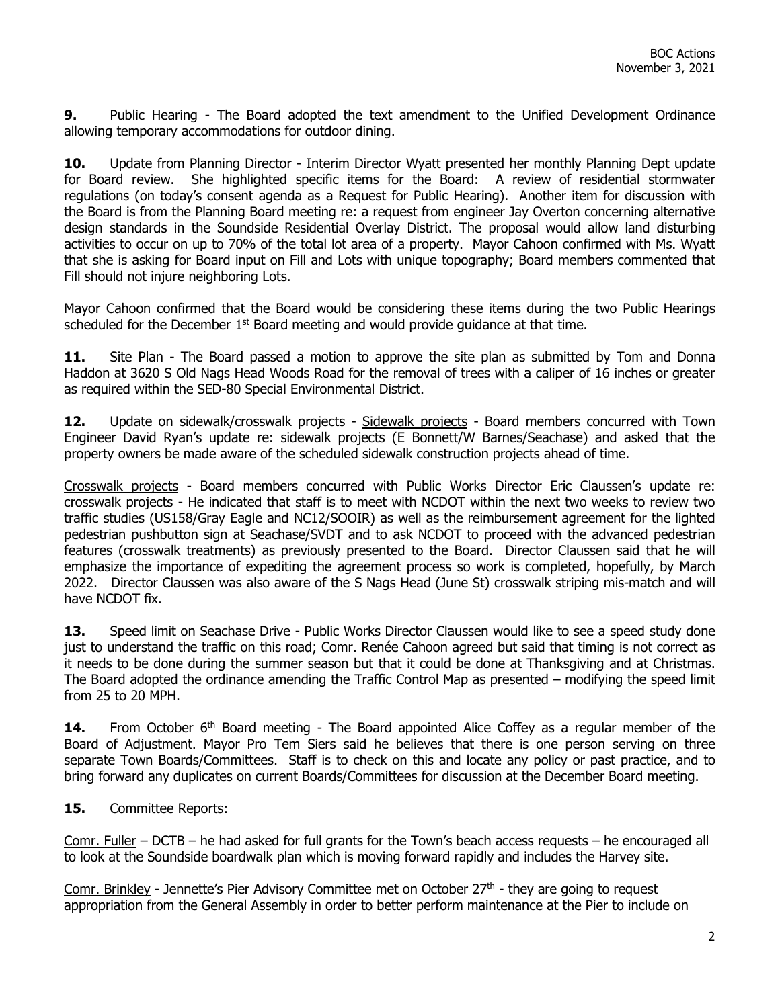**9.** Public Hearing - The Board adopted the text amendment to the Unified Development Ordinance allowing temporary accommodations for outdoor dining.

**10.** Update from Planning Director - Interim Director Wyatt presented her monthly Planning Dept update for Board review. She highlighted specific items for the Board: A review of residential stormwater regulations (on today's consent agenda as a Request for Public Hearing). Another item for discussion with the Board is from the Planning Board meeting re: a request from engineer Jay Overton concerning alternative design standards in the Soundside Residential Overlay District. The proposal would allow land disturbing activities to occur on up to 70% of the total lot area of a property. Mayor Cahoon confirmed with Ms. Wyatt that she is asking for Board input on Fill and Lots with unique topography; Board members commented that Fill should not injure neighboring Lots.

Mayor Cahoon confirmed that the Board would be considering these items during the two Public Hearings scheduled for the December  $1<sup>st</sup>$  Board meeting and would provide guidance at that time.

11. Site Plan - The Board passed a motion to approve the site plan as submitted by Tom and Donna Haddon at 3620 S Old Nags Head Woods Road for the removal of trees with a caliper of 16 inches or greater as required within the SED-80 Special Environmental District.

**12.** Update on sidewalk/crosswalk projects - Sidewalk projects - Board members concurred with Town Engineer David Ryan's update re: sidewalk projects (E Bonnett/W Barnes/Seachase) and asked that the property owners be made aware of the scheduled sidewalk construction projects ahead of time.

Crosswalk projects - Board members concurred with Public Works Director Eric Claussen's update re: crosswalk projects - He indicated that staff is to meet with NCDOT within the next two weeks to review two traffic studies (US158/Gray Eagle and NC12/SOOIR) as well as the reimbursement agreement for the lighted pedestrian pushbutton sign at Seachase/SVDT and to ask NCDOT to proceed with the advanced pedestrian features (crosswalk treatments) as previously presented to the Board. Director Claussen said that he will emphasize the importance of expediting the agreement process so work is completed, hopefully, by March 2022. Director Claussen was also aware of the S Nags Head (June St) crosswalk striping mis-match and will have NCDOT fix.

**13.** Speed limit on Seachase Drive - Public Works Director Claussen would like to see a speed study done just to understand the traffic on this road; Comr. Renée Cahoon agreed but said that timing is not correct as it needs to be done during the summer season but that it could be done at Thanksgiving and at Christmas. The Board adopted the ordinance amending the Traffic Control Map as presented – modifying the speed limit from 25 to 20 MPH.

14. From October 6<sup>th</sup> Board meeting - The Board appointed Alice Coffey as a regular member of the Board of Adjustment. Mayor Pro Tem Siers said he believes that there is one person serving on three separate Town Boards/Committees. Staff is to check on this and locate any policy or past practice, and to bring forward any duplicates on current Boards/Committees for discussion at the December Board meeting.

## **15.** Committee Reports:

Comr. Fuller – DCTB – he had asked for full grants for the Town's beach access requests – he encouraged all to look at the Soundside boardwalk plan which is moving forward rapidly and includes the Harvey site.

Comr. Brinkley - Jennette's Pier Advisory Committee met on October 27<sup>th</sup> - they are going to request appropriation from the General Assembly in order to better perform maintenance at the Pier to include on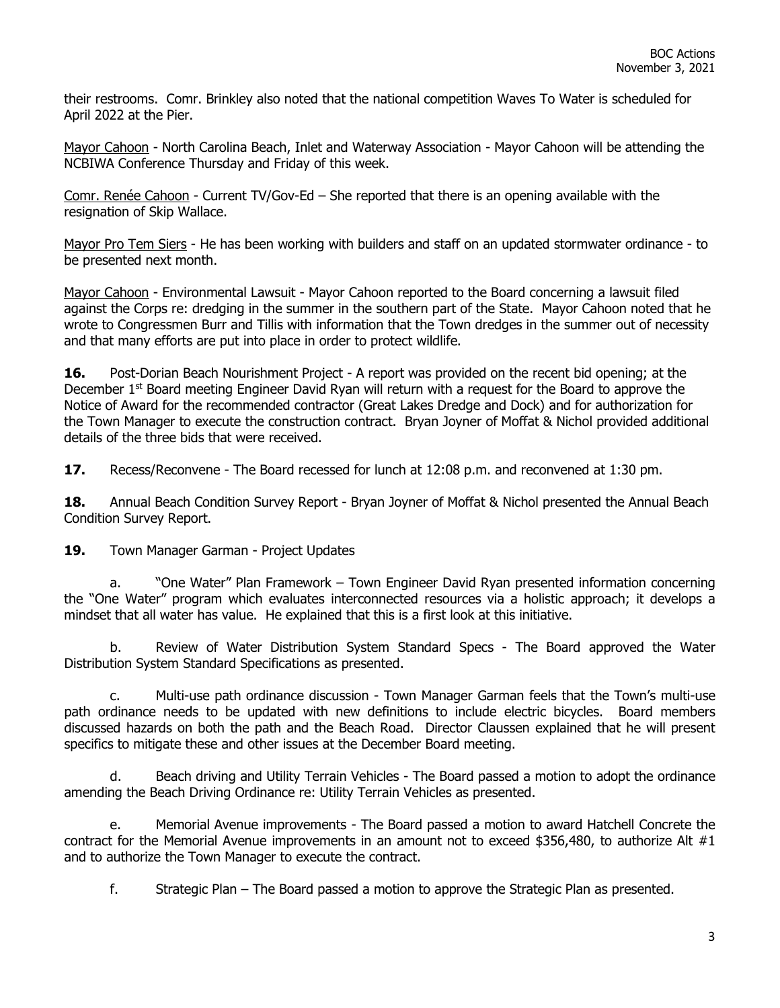their restrooms. Comr. Brinkley also noted that the national competition Waves To Water is scheduled for April 2022 at the Pier.

Mayor Cahoon - North Carolina Beach, Inlet and Waterway Association - Mayor Cahoon will be attending the NCBIWA Conference Thursday and Friday of this week.

Comr. Renée Cahoon - Current TV/Gov-Ed – She reported that there is an opening available with the resignation of Skip Wallace.

Mayor Pro Tem Siers - He has been working with builders and staff on an updated stormwater ordinance - to be presented next month.

Mayor Cahoon - Environmental Lawsuit - Mayor Cahoon reported to the Board concerning a lawsuit filed against the Corps re: dredging in the summer in the southern part of the State. Mayor Cahoon noted that he wrote to Congressmen Burr and Tillis with information that the Town dredges in the summer out of necessity and that many efforts are put into place in order to protect wildlife.

**16.** Post-Dorian Beach Nourishment Project - A report was provided on the recent bid opening; at the December 1<sup>st</sup> Board meeting Engineer David Ryan will return with a request for the Board to approve the Notice of Award for the recommended contractor (Great Lakes Dredge and Dock) and for authorization for the Town Manager to execute the construction contract. Bryan Joyner of Moffat & Nichol provided additional details of the three bids that were received.

**17.** Recess/Reconvene - The Board recessed for lunch at 12:08 p.m. and reconvened at 1:30 pm.

**18.** Annual Beach Condition Survey Report - Bryan Joyner of Moffat & Nichol presented the Annual Beach Condition Survey Report.

19. Town Manager Garman - Project Updates

a. "One Water" Plan Framework – Town Engineer David Ryan presented information concerning the "One Water" program which evaluates interconnected resources via a holistic approach; it develops a mindset that all water has value. He explained that this is a first look at this initiative.

b. Review of Water Distribution System Standard Specs - The Board approved the Water Distribution System Standard Specifications as presented.

c. Multi-use path ordinance discussion - Town Manager Garman feels that the Town's multi-use path ordinance needs to be updated with new definitions to include electric bicycles. Board members discussed hazards on both the path and the Beach Road. Director Claussen explained that he will present specifics to mitigate these and other issues at the December Board meeting.

d. Beach driving and Utility Terrain Vehicles - The Board passed a motion to adopt the ordinance amending the Beach Driving Ordinance re: Utility Terrain Vehicles as presented.

e. Memorial Avenue improvements - The Board passed a motion to award Hatchell Concrete the contract for the Memorial Avenue improvements in an amount not to exceed \$356,480, to authorize Alt  $#1$ and to authorize the Town Manager to execute the contract.

f. Strategic Plan – The Board passed a motion to approve the Strategic Plan as presented.